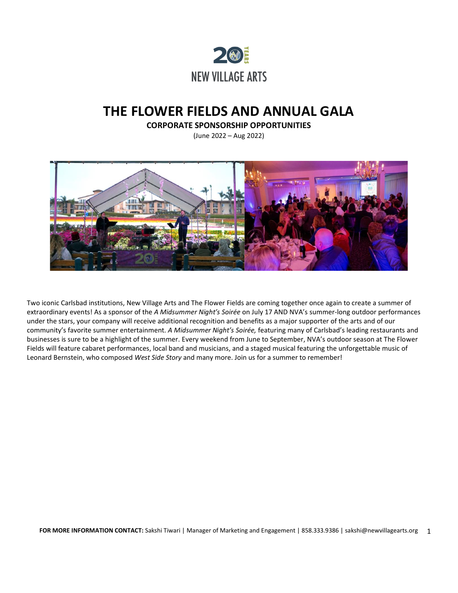

# **THE FLOWER FIELDS AND ANNUAL GALA**

**CORPORATE SPONSORSHIP OPPORTUNITIES**

(June 2022 – Aug 2022)



Two iconic Carlsbad institutions, New Village Arts and The Flower Fields are coming together once again to create a summer of extraordinary events! As a sponsor of the *A Midsummer Night's Soirée* on July 17 AND NVA's summer-long outdoor performances under the stars, your company will receive additional recognition and benefits as a major supporter of the arts and of our community's favorite summer entertainment. *A Midsummer Night's Soirée,* featuring many of Carlsbad's leading restaurants and businesses is sure to be a highlight of the summer. Every weekend from June to September, NVA's outdoor season at The Flower Fields will feature cabaret performances, local band and musicians, and a staged musical featuring the unforgettable music of Leonard Bernstein, who composed *West Side Story* and many more. Join us for a summer to remember!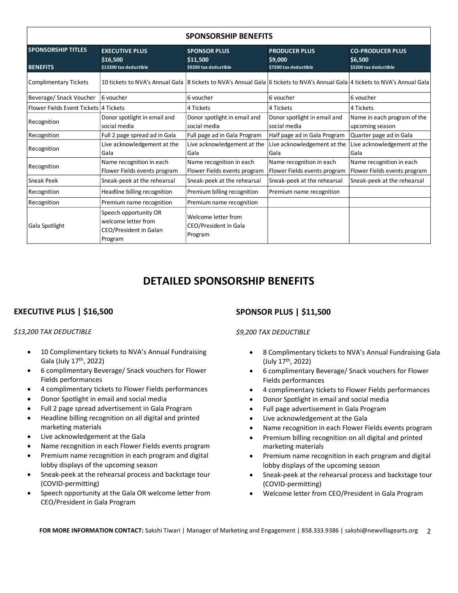| <b>SPONSORSHIP BENEFITS</b>                  |                                                                                                                              |                                                          |                                                          |                                                             |
|----------------------------------------------|------------------------------------------------------------------------------------------------------------------------------|----------------------------------------------------------|----------------------------------------------------------|-------------------------------------------------------------|
| <b>SPONSORSHIP TITLES</b><br><b>BENEFITS</b> | <b>EXECUTIVE PLUS</b><br>\$16,500<br>\$13200 tax deductible                                                                  | <b>SPONSOR PLUS</b><br>\$11,500<br>\$9200 tax deductible | <b>PRODUCER PLUS</b><br>\$9,000<br>\$7200 tax deductible | <b>CO-PRODUCER PLUS</b><br>\$6,500<br>\$5200 tax deductible |
| Complimentary Tickets                        | 10 tickets to NVA's Annual Gala 8 tickets to NVA's Annual Gala 6 tickets to NVA's Annual Gala 4 tickets to NVA's Annual Gala |                                                          |                                                          |                                                             |
| Beverage/ Snack Voucher                      | 6 voucher                                                                                                                    | 6 voucher                                                | 6 voucher                                                | 6 voucher                                                   |
| Flower Fields Event Tickets 4 Tickets        |                                                                                                                              | 4 Tickets                                                | 4 Tickets                                                | 4 Tickets                                                   |
| Recognition                                  | Donor spotlight in email and<br>social media                                                                                 | Donor spotlight in email and<br>social media             | Donor spotlight in email and<br>social media             | Name in each program of the<br>upcoming season              |
| Recognition                                  | Full 2 page spread ad in Gala                                                                                                | Full page ad in Gala Program                             | Half page ad in Gala Program                             | Quarter page ad in Gala                                     |
| Recognition                                  | Live acknowledgement at the<br>Gala                                                                                          | Live acknowledgement at the<br>Gala                      | Live acknowledgement at the<br>Gala                      | Live acknowledgement at the<br>Gala                         |
| Recognition                                  | Name recognition in each<br>Flower Fields events program                                                                     | Name recognition in each<br>Flower Fields events program | Name recognition in each<br>Flower Fields events program | Name recognition in each<br>Flower Fields events program    |
| <b>Sneak Peek</b>                            | Sneak-peek at the rehearsal                                                                                                  | Sneak-peek at the rehearsal                              | Sneak-peek at the rehearsal                              | Sneak-peek at the rehearsal                                 |
| Recognition                                  | Headline billing recognition                                                                                                 | Premium billing recognition                              | Premium name recognition                                 |                                                             |
| Recognition                                  | Premium name recognition                                                                                                     | Premium name recognition                                 |                                                          |                                                             |
| Gala Spotlight                               | Speech opportunity OR<br>welcome letter from<br><b>CEO/President in Galan</b><br>Program                                     | Welcome letter from<br>CEO/President in Gala<br>Program  |                                                          |                                                             |

## **DETAILED SPONSORSHIP BENEFITS**

## **EXECUTIVE PLUS | \$16,500**

#### *\$13,200 TAX DEDUCTIBLE*

- 10 Complimentary tickets to NVA's Annual Fundraising Gala (July 17th, 2022)
- 6 complimentary Beverage/ Snack vouchers for Flower Fields performances
- 4 complimentary tickets to Flower Fields performances
- Donor Spotlight in email and social media
- Full 2 page spread advertisement in Gala Program
- Headline billing recognition on all digital and printed marketing materials
- Live acknowledgement at the Gala
- Name recognition in each Flower Fields events program
- Premium name recognition in each program and digital lobby displays of the upcoming season
- Sneak-peek at the rehearsal process and backstage tour (COVID-permitting)
- Speech opportunity at the Gala OR welcome letter from CEO/President in Gala Program

## **SPONSOR PLUS | \$11,500**

#### *\$9,200 TAX DEDUCTIBLE*

- 8 Complimentary tickets to NVA's Annual Fundraising Gala (July 17th, 2022)
- 6 complimentary Beverage/ Snack vouchers for Flower Fields performances
- 4 complimentary tickets to Flower Fields performances
- Donor Spotlight in email and social media
- Full page advertisement in Gala Program
- Live acknowledgement at the Gala
- Name recognition in each Flower Fields events program
- Premium billing recognition on all digital and printed marketing materials
- Premium name recognition in each program and digital lobby displays of the upcoming season
- Sneak-peek at the rehearsal process and backstage tour (COVID-permitting)
- Welcome letter from CEO/President in Gala Program

**FOR MORE INFORMATION CONTACT:** Sakshi Tiwari | Manager of Marketing and Engagement | 858.333.9386 | sakshi@newvillagearts.org 2